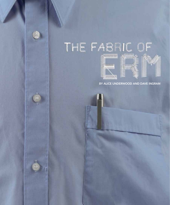

# THE FABING OF

**Samuel** 

THUMAN







By Alice Underwood and Dave Ingram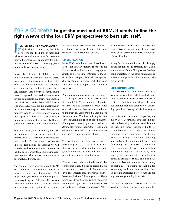# FOR A COMPANY to get the most out of ERM, it needs to find the right weave of the four ERM perspectives to best suit itself.

**I**<br>**I A INTERNATIONAL AND THE CONTRACTOR** f Enterprise Risk Management (ERM) is what it claims to be, then it is at its core the discipline of managing risk across an entire enterprise. But there are many different types of enterprises, from the pin-striped financial world to the tough, blue denim collars of manufacturing.

Banks believe they invented ERM, as the antidote to their out-of-control trading desks. Insurers see risk management as their birthright—but the underwriters and actuaries whose uneasy truce defines the sector have very different ideas of what risk management means. Long-lived firms in other business sectors are comfortable that their own approach to risk is all that is needed. Basel II/III, Solvency II and COSO/ISO31000 are the fundamentally inconsistent roadmaps to these divergent approaches. And to the enduring consternation of disciples of each of these styles of ERM, a number of firms flaunt the dictates of all three, yet continue to survive and sometimes thrive.

From this tangle, we can identify four distinct approaches to the management of enterprise-wide risk. These four ERM strategies can be called Diversification, Loss Controlling, Risk Trading and Risk Steering. We will consider each of these in turn, demonstrating that each represents a complete management system, with its own sensible way to accomplish different goals.

Are each of these strategies really ERM? Yes—in the sense that each can be used to manage risk across an entire enterprise. That proposition gives some practitioners pause. But recognizing that ERM is a fabric woven from four different threads can help every firm to weave them together in the manner that suits them best; there's no need to be constrained to the off-the-rack plaids and stripes that are the standard offerings.

## **DIVERSIFICATION**

Many ERM practitioners see diversification as the non-strategy strategy. Those who follow a diversification approach may appear simply to be rejecting organized ERM. But diversification is part of the risk management strategy of many—perhaps most—firms, and it can absolutely be applied in an enterprisewide fashion.

When concentrations of risk are monitored at an enterprise-wide level, this is Diversification-based ERM. To moderate its risk profile, the firm seeks to undertake a broad range of activities whose risks are unrelated, and to maintain an appropriate balance among these activities. The key limit applied is a concentration limit. The best practitioners of this approach constantly monitor their risks, staying alert for any change that would markedly increase the risk of one of their ventures and thereby skew the spread of risk.

The popular investment strategy of periodic rebalancing is at its core a diversification strategy. Buying and selling the losers and gainers is intended to keep the risk of the portfolio at a predetermined balance.

Diversification is also the fundamental idea behind insurance. It is the principle that enables insurers to assume risks from many individuals, whereas those individuals cannot bear the risk alone. Following the law of large numbers, diversification is best achieved with a very large pool of independent risks of similar size and risk characteristics. When insurance companies send a fraction of their biggest risks off to a reinsurer, they are motivated by the desire to maximize the benefits of diversification.

A very few insurance firms explicitly apply diversification at the strategic level, as a major theme of their ERM process. Modern conglomerates, on the other hand, have elevated this approach to become their driving principle.

### LOSS CONTROLLING

Loss Controlling is a fundamental risk management activity that seeks to restrict exposure to potential losses or risks. Almost all businesses do this to some degree; the internal audit function and other ways of controlling operational risks typically fit this category.

In banks and insurance companies, the major Loss Controlling activities include risk underwriting and the establishment of exposure limits. Exposure limits for nonunderwriting risks, such as interest rate and equity exposures, can be enforced by using asset-liability matching and hedging. In nonfinancial firms, Loss Controlling adds a physical dimension. This is addressed by safety and industrial engineering programs—as well as by insuring physical property risks to set a limit on potential exposure. Supply chain and raw materials risks are managed by a variety of techniques, including but not limited to hedging. And in all types of firms, Loss Controlling strategies help to manage foreign exchange and liquidity risks.

Traditionally, each of these risks was managed in isolation. But Loss Controlling be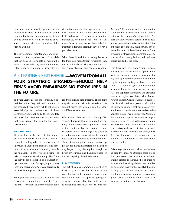comes an enterprise-wide approach when all the firm's risks are measured on some comparable basis. Then management can decide whether to retain or reduce exposure to certain risks based on a view of the firm as a whole.

The development, maintenance and interpretation of comprehensive risk models that can be used to evaluate all risks on the same basis are relatively new phenomena. Often, when such a model is first deployed,

(the ratio of claims plus expenses to premiums). Health insurers often have the same Risk Trading focus. They consider premium inadequacy their main risk—and, in fact, many firms in these sectors have failed to maintain adequate premium levels over a period of years.

When these firms shift to an enterprise focus for their risk management programs, they start to think about using economic capital and a cost-of-capital approach to standard-

# A stronger ERM fabric—woven from all four strategic strands—should help firms avoid embarrassing exposures in the future.

and management sees the company's actual risk profile, they realize that some risks are managed very tightly while others are essentially ignored. In the context of a Loss Controlling approach to ERM, risk models are most often used to conduct stress tests that help prepare the firm for the worstcase situation.

## Risk Trading

Modern ERM can be traced to the trading businesses of banks. Hard lessons from uncontrolled trading led to the development of improved management processes and standards. A major element in these systems is the valuation—in other words, pricing—of risks. Management of risk through Risk Trading activity can be applied on a transactionby-transaction basis. But applying a consistent view of risk pricing across all risks leads to a Risk Trading form of ERM.

Many property and casualty insurance and reinsurance companies are pure Risk Trading firms. They focus on their combined ratio

ize their pricing risk margins. These firms may also establish risk limits that relate to the amount prices may deviate from the "standard" by-the-book rates.

Life insurers often use a Risk Trading ERM strategy if universal life or deferred fixed annuity products comprise a significant portion of their portfolio. For such products, there is a target interest rate margin and a regular discretionary process for setting the interest rates that are credited to their customers. These firms sought a comprehensive approach for managing interest rate risk when they began to vary the required margin between investments and liabilities based on the credit quality of the investments.

#### Risk Steering

The activities most commonly described as ERM today are those that incorporate risk considerations into a comprehensive process for firm-wide risk capital budgeting and strategic resource allocation, with an eye to enhancing firm value. We call this Risk

Steering ERM. At a macro level, information obtained from ERM systems can be used to optimize the company's risk portfolio. Proposals to grow or shrink parts of the business, and opportunities to offset or transfer different portions of the total risk position, can be viewed in terms of risk-adjusted return. Some firms employ this approach only for major ad hoc decisions on acquisitions or divestitures; others use it all of the time.

This top-down risk management process typically uses an economic capital model as its key reference point for risk, and the key limit applied is the amount of economic capital any one activity is allowed to consume. The planning cycle then will include a capital budgeting process that incorporates the capital requirements and expected return on capital associated with planned future business. Consideration of a business plan is evaluated as a potential allocation of capital to support that business activity, and financial results are measured on a riskadjusted basis. This includes recognition of the economic capital necessary to support business risks—as well as the risk premium, loss reserves, and duration issues for multiperiod risks such as credit risk or casualty insurance. A few firms that are using a Risk Steering ERM process have also created an incentive system tied to the risk-adjusted financial results.

Taken together, these activities can be seen as broadly similar to strategic asset allocation processes that allocate investments among classes to achieve the optimal return for choices along the efficient frontier. In fact, some insurers that use Risk Steering do employ the efficient frontier concept and plot their businesses on a risk versus reward graph using economic capital instead of standard deviation as the risk axis.